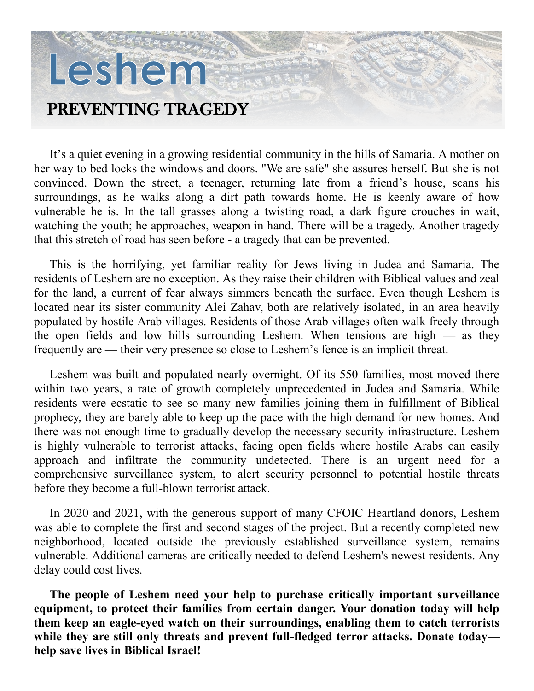## Leshem PREVENTING TRAGEDY

It's a quiet evening in a growing residential community in the hills of Samaria. A mother on her way to bed locks the windows and doors. "We are safe" she assures herself. But she is not convinced. Down the street, a teenager, returning late from a friend's house, scans his surroundings, as he walks along a dirt path towards home. He is keenly aware of how vulnerable he is. In the tall grasses along a twisting road, a dark figure crouches in wait, watching the youth; he approaches, weapon in hand. There will be a tragedy. Another tragedy that this stretch of road has seen before - a tragedy that can be prevented.

This is the horrifying, yet familiar reality for Jews living in Judea and Samaria. The residents of Leshem are no exception. As they raise their children with Biblical values and zeal for the land, a current of fear always simmers beneath the surface. Even though Leshem is located near its sister community Alei Zahav, both are relatively isolated, in an area heavily populated by hostile Arab villages. Residents of those Arab villages often walk freely through the open fields and low hills surrounding Leshem. When tensions are high — as they frequently are — their very presence so close to Leshem's fence is an implicit threat.

Leshem was built and populated nearly overnight. Of its 550 families, most moved there within two years, a rate of growth completely unprecedented in Judea and Samaria. While residents were ecstatic to see so many new families joining them in fulfillment of Biblical prophecy, they are barely able to keep up the pace with the high demand for new homes. And there was not enough time to gradually develop the necessary security infrastructure. Leshem is highly vulnerable to terrorist attacks, facing open fields where hostile Arabs can easily approach and infiltrate the community undetected. There is an urgent need for a comprehensive surveillance system, to alert security personnel to potential hostile threats before they become a full-blown terrorist attack.

In 2020 and 2021, with the generous support of many CFOIC Heartland donors, Leshem was able to complete the first and second stages of the project. But a recently completed new neighborhood, located outside the previously established surveillance system, remains vulnerable. Additional cameras are critically needed to defend Leshem's newest residents. Any delay could cost lives.

**The people of Leshem need your help to purchase critically important surveillance equipment, to protect their families from certain danger. Your donation today will help them keep an eagle-eyed watch on their surroundings, enabling them to catch terrorists**  while they are still only threats and prevent full-fledged terror attacks. Donate today **help save lives in Biblical Israel!**